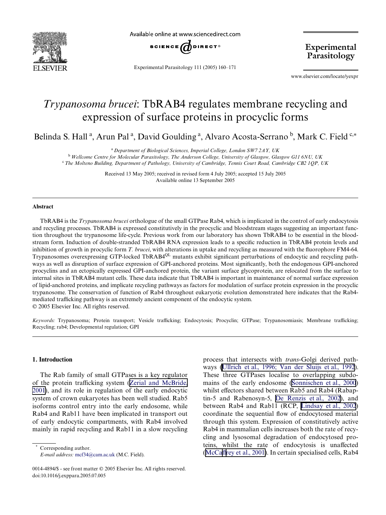

Available online at www.sciencedirect.com



Experimental Parasitology 111 (2005) 160–171

Experimental Parasitology

www.elsevier.com/locate/yexpr

# *Trypanosoma brucei*: TbRAB4 regulates membrane recycling and expression of surface proteins in procyclic forms

Belinda S. Hall<sup>a</sup>, Arun Pal<sup>a</sup>, David Goulding<sup>a</sup>, Alvaro Acosta-Serrano<sup>b</sup>, Mark C. Field<sup>c,\*</sup>

<sup>a</sup>*Department of Biological Sciences, Imperial College, London SW7 2AY, UK*

<sup>b</sup> *Wellcome Centre for Molecular Parasitology, The Anderson College, University of Glasgow, Glasgow G11 6NU, UK* <sup>c</sup> The Molteno Building, Department of Pathology, University of Cambridge, Tennis Court Road, Cambridge CB2 1QP, UK

Received 13 May 2005; received in revised form 4 July 2005; accepted 15 July 2005

Available online 13 September 2005

#### **Abstract**

TbRAB4 is the *Trypanosoma brucei* orthologue of the small GTPase Rab4, which is implicated in the control of early endocytosis and recycling processes. TbRAB4 is expressed constitutively in the procyclic and bloodstream stages suggesting an important function throughout the trypanosome life-cycle. Previous work from our laboratory has shown TbRAB4 to be essential in the bloodstream form. Induction of double-stranded TbRAB4 RNA expression leads to a specific reduction in TbRAB4 protein levels and inhibition of growth in procyclic form *T. brucei*, with alterations in uptake and recycling as measured with the fluorophore FM4-64. Trypanosomes overexpressing GTP-locked TbRAB4<sup>QL</sup> mutants exhibit significant perturbations of endocytic and recycling pathways as well as disruption of surface expression of GPI-anchored proteins. Most significantly, both the endogenous GPI-anchored procyclins and an ectopically expressed GPI-anchored protein, the variant surface glycoprotein, are relocated from the surface to internal sites in TbRAB4 mutant cells. These data indicate that TbRAB4 is important in maintenance of normal surface expression of lipid-anchored proteins, and implicate recycling pathways as factors for modulation of surface protein expression in the procyclic trypanosome. The conservation of function of Rab4 throughout eukaryotic evolution demonstrated here indicates that the Rab4 mediated trafficking pathway is an extremely ancient component of the endocytic system. 2005 Elsevier Inc. All rights reserved.

Keywords: Trypanosoma; Protein transport; Vesicle trafficking; Endocytosis; Procyclin; GTPase; Trypanosomiasis; Membrane trafficking; Recycling; rab4; Developmental regulation; GPI

## **1. Introduction**

The Rab family of small GTPases is a key regulator of the protein trafficking system (Zerial and [McBride,](#page-11-0) [2001\)](#page-11-0), and its role in regulation of the early endocytic system of crown eukaryotes has been well studied. Rab5 isoforms control entry into the early endosome, while Rab4 and Rab11 have been implicated in transport out of early endocytic compartments, with Rab4 involved mainly in rapid recycling and Rab11 in a slow recycling

Corresponding author. *E-mail address:* mcf34@cam.ac.uk (M.C. Field). process that intersects with *trans*-Golgi derived pathways [\(Ullrich](#page-11-1) et al., 1996; Van der Sluijs et al., 1992). These three GTPases localise to overlapping subdomains of the early endosome ([Sonnischen](#page-11-2) et al., 2000) whilst effectors shared between Rab5 and Rab4 (Rabaptin-5 and Rabenosyn-5, De [Renzis](#page-10-0) et al., 2002), and between Rab4 and Rab11 (RCP, [Lindsay](#page-11-3) et al., 2002) coordinate the sequential flow of endocytosed material through this system. Expression of constitutively active Rab4 in mammalian cells increases both the rate of recycling and lysosomal degradation of endocytosed proteins, whilst the rate of endocytosis is unaffected ([McCa](#page-11-4)ffrey et al., [2001\)](#page-11-4). In certain specialised cells,  $Rab4$ 

<sup>0014-4894/\$ -</sup> see front matter © 2005 Elsevier Inc. All rights reserved. doi:10.1016/j.exppara.2005.07.005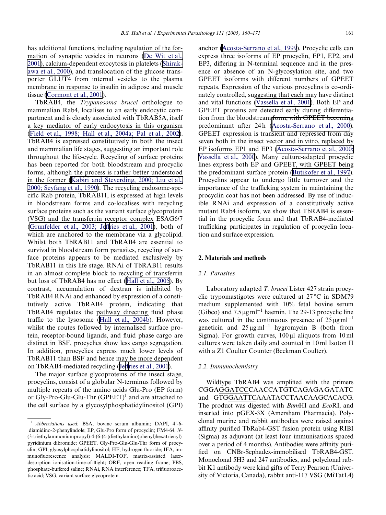has additional functions, including regulation of the formation of synaptic vesicles in neurons (De [Wit](#page-10-1) et al., [2001\)](#page-10-1), calcium-dependent exocytosis in platelets ([Shirak](#page-11-5)awa et al., [2000\)](#page-11-5), and translocation of the glucose transporter GLUT4 from internal vesicles to the plasma membrane in response to insulin in adipose and muscle tissue ([Cormont](#page-10-2) et al., 2001).

TbRAB4, the *Trypanosoma brucei* orthologue to mammalian Rab4, localises to an early endocytic compartment and is closely associated with TbRAB5A, itself a key mediator of early endocytosis in this organism (Field et al., 1998; Hall et al., [2004a;](#page-10-3) Pal et al., 2002). TbRAB4 is expressed constitutively in both the insect and mammalian life stages, suggesting an important role throughout the life-cycle. Recycling of surface proteins has been reported for both bloodstream and procyclic forms, although the process is rather better understood in the former [\(K](#page-11-6)abiri and [Steverding,](#page-11-6) 2000; Liu et al., 2000; [Seyfang](#page-11-6) et al., 1990). The recycling endosome-spe $c$ ific Rab protein, TbRAB11, is expressed at high levels in bloodstream forms and co-localises with recycling surface proteins such as the variant surface glycoprotein (VSG) and the transferrin receptor complex ESAG6/7 ([Grunfelder](#page-10-4) et al., 2003; Jeffries et al., [2001\)](#page-10-4), both of which are anchored to the membrane via a glycolipid. Whilst both TbRAB11 and TbRAB4 are essential to survival in bloodstream form parasites, recycling of surface proteins appears to be mediated exclusively by TbRAB11 in this life stage. RNAi of TbRAB11 results in an almost complete block to recycling of transferrin but loss of TbRAB4 has no effect [\(H](#page-10-5)all et al., [2005\)](#page-10-5). By contrast, accumulation of dextran is inhibited by TbRAB4 RNAi and enhanced by expression of a constitutively active TbRAB4 protein, indicating that TbRAB4 regulates the pathway directing fluid phase traffic to the lysosome [\(H](#page-10-6)all et al., [2004b](#page-10-6)). However, whilst the routes followed by internalised surface protein, receptor-bound ligands, and fluid phase cargo are distinct in BSF, procyclics show less cargo segregation. In addition, procyclics express much lower levels of TbRAB11 than BSF and hence may be more dependent on TbRAB4-mediated recycling ([Je](#page-11-7)ffries et al., [2001](#page-11-7)).

The major surface glycoproteins of the insect stage, procyclins, consist of a globular N-terminus followed by multiple repeats of the amino acids Glu-Pro (EP form) or Gly-Pro-Glu-Glu-Thr (GPEET) <sup>1</sup> and are attached to the cell surface by a glycosylphosphatidylinositol (GPI) anchor [\(Acosta-Serrano](#page-10-7) et al., 1999). Procyclic cells can express three isoforms of EP procyclin, EP1, EP2, and EP3, differing in N-terminal sequence and in the presence or absence of an N-glycosylation site, and two GPEET isoforms with different numbers of GPEET repeats. Expression of the various procyclins is co-ordinately controlled, suggesting that each may have distinct and vital functions ([Vassella](#page-11-8) et al., 2001). Both EP and GPEET proteins are detected early during differentiation from the bloodstream form, with GPEET becoming predominant after 24h [\(Acosta-Serrano](#page-10-8) et al., 2000). GPEET expression is transient and repressed from day seven both in the insect vector and in vitro, replaced by EP isoforms EP1 and EP3 [\(Acosta-Serrano](#page-10-8) et al., 2000; [Vassella](#page-10-8) et al., 2000). Many culture-adapted procyclic lines express both EP and GPEET, with GPEET being the predominant surface protein ([Butikofer](#page-10-9) et al., 1997). Procyclins appear to undergo little turnover and the importance of the trafficking system in maintaining the procyclin coat has not been addressed. By use of inducible RNAi and expression of a constitutively active mutant Rab4 isoform, we show that TbRAB4 is essential in the procyclic form and that TbRAB4-mediated trafficking participates in regulation of procyclin location and surface expression.

#### <span id="page-1-0"></span>**2. Materials and methods**

## *2.1. Parasites*

Laboratory adapted *T. brucei* Lister 427 strain procyclic trypomastigotes were cultured at 27 °C in SDM79 medium supplemented with 10% fetal bovine serum (Gibco) and  $7.5 \,\mathrm{\upmu}\mathrm{g}\,\mathrm{m}^{-1}$  haemin. The 29-13 procyclic line was cultured in the continuous presence of  $25 \mu g \text{m}^{-1}$ geneticin and  $25 \mu g \text{m}^{-1}$  hygromycin B (both from Sigma). For growth curves,  $100 \mu l$  aliquots from 10 ml cultures were taken daily and counted in 10 ml Isoton II with a Z1 Coulter Counter (Beckman Coulter).

#### *2.2. Immunochemistry*

Wildtype TbRAB4 was amplified with the primers CGGAGGATCCCAACCATGTCAGAGAGATATC and GTGGAATTCAAATACCTAACAAGCACACG. The product was digested with *Bam*HI and *Eco*RI, and inserted into pGEX-3X (Amersham Pharmacia). Polyclonal murine and rabbit antibodies were raised against affinity purified TbRab4-GST fusion protein using RIBI (Sigma) as adjuvant (at least four immunisations spaced over a period of 4 months). Antibodies were affinity purified on CNBr-Sephadex-immobilised TbRAB4-GST. Monoclonal 5H3 and 247 antibodies, and polyclonal rabbit K1 antibody were kind gifts of Terry Pearson (University of Victoria, Canada), rabbit anti-117 VSG (MiTat1.4)

<sup>&</sup>lt;sup>1</sup> *Abbreviations used:* BSA, bovine serum albumin; DAPI, 4'-6diamidino-2-phenylindole; EP, Glu-Pro form of procyclin; FM4-64, *N*- (3-triethylammoniumpropyl)-4-(6-(4-(diethylamino)phenyl)hexatrienyl) pyridinium dibromide; GPEET, Gly-Pro-Glu-Glu-Thr form of procyclin; GPI, glyosylphosphatidylinositol; HF, hydrogen fluoride; IFA, immunofluorescence analysis; MALDI-TOF, matrix-assisted laserdesorption ionisation-time-of-flight; ORF, open reading frame; PBS, phosphate-buffered saline; RNAi, RNA interference; TFA, trifluoroacetic acid; VSG, variant surface glycoprotein.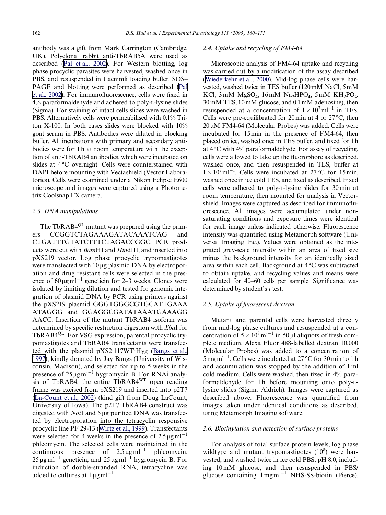antibody was a gift from Mark Carrington (Cambridge, UK). Polyclonal rabbit anti-TbRAB5A were used as described (Pal et al., [2002\)](#page-11-9). For Western blotting, log phase procyclic parasites were harvested, washed once in PBS, and resuspended in Laemmli loading buffer. SDS– PAGE and blotting were performed as described [\(Pal](#page-11-9) et al., [2002\)](#page-11-9). For immunofluorescence, cells were fixed in 4% paraformaldehyde and adhered to poly-L-lysine slides (Sigma). For staining of intact cells slides were washed in PBS. Alternatively cells were permeabilised with 0.1% Triton X-100. In both cases slides were blocked with 10% goat serum in PBS. Antibodies were diluted in blocking buffer. All incubations with primary and secondary antibodies were for 1h at room temperature with the exception of anti-TbRAB4 antibodies, which were incubated on slides at 4°C overnight. Cells were counterstained with DAPI before mounting with Vectashield (Vector Laboratories). Cells were examined under a Nikon Eclipse E600 microscope and images were captured using a Photometrix Coolsnap FX camera.

#### *2.3. DNA manipulations*

The TbRAB4<sup>QL</sup> mutant was prepared using the primers CCGGTCTAGAAAGATACAAATCAG and CTGATTTGTATCTTTCTAGACCGGC. PCR products were cut with *Bam*HI and *Hin*dIII, and inserted into pXS219 vector. Log phase procyclic trypomastigotes were transfected with  $10 \mu$ g plasmid DNA by electroporation and drug resistant cells were selected in the presence of  $60 \,\mathrm{\upmu}\mathrm{g}\mathrm{m}^{-1}$  geneticin for 2–3 weeks. Clones were isolated by limiting dilution and tested for genomic integration of plasmid DNA by PCR using primers against the pXS219 plasmid GGGTGGGCGTGCATTGAAA ATAGGG and GGAGGCGATATAAATGAAAGG AACC. Insertion of the mutant TbRAB4 isoform was determined by specific restriction digestion with *XbaI* for TbRAB4<sup>QL</sup>. For VSG expression, parental procyclic trypomastigotes and TbRAB4 transfectants were transfected with the plasmid pXS2·117WT·Hyg [\(Bangs](#page-10-10) et al., [1997\)](#page-10-10), kindly donated by Jay Bangs (University of Wisconsin, Madison), and selected for up to 5 weeks in the presence of  $25 \mu g$  ml<sup>-1</sup> hygromycin B. For RNAi analysis of TbRAB4, the entire TbRAB4WT open reading frame was excised from pXS219 and inserted into p2T7 [\(La-Count](#page-11-10) et al., 2002) (kind gift from Doug LaCount, University of Iowa). The p2T7·TbRAB4 construct was digested with *Not*I and  $5 \mu$ g purified DNA was transfected by electroporation into the tetracyclin responsive procyclic line PF 29-13 ([Wirtz](#page-11-11) et al., 1999). Transfectants were selected for 4 weeks in the presence of  $2.5 \,\mathrm{\upmu}\mathrm{g}\,\mathrm{m}^{-1}$ phleomycin. The selected cells were maintained in the continuous presence of  $2.5 \mu g \text{m}^{-1}$  phleomycin,  $25 \,\mathrm{\upmu}\mathrm{g\upmu}^{-1}$  geneticin, and  $25 \,\mathrm{\upmu}\mathrm{g\upmu}^{-1}$  hygromycin B. For induction of double-stranded RNA, tetracycline was added to cultures at 1  $\mu\text{g}\,\text{ml}^{-1}.$ 

## *2.4. Uptake and recycling of FM4-64*

Microscopic analysis of FM4-64 uptake and recycling was carried out by a modification of the assay described ([Wiederkehr](#page-11-12) et al., 2000). Mid-log phase cells were harvested, washed twice in TES buffer (120mM NaCl, 5mM KCl,  $3 \text{ mM } MgSO_4$ ,  $16 \text{ mM } Na<sub>2</sub>HPO<sub>4</sub>$ ,  $5 \text{ mM } KH<sub>2</sub>PO<sub>4</sub>$ , 30mM TES, 10 mM glucose, and 0.1mM adenosine), then resuspended at a concentration of  $1 \times 10^7$ ml<sup>-1</sup> in TES. Cells were pre-equilibrated for 20min at 4 or 27°C, then  $20 \mu$ M FM4-64 (Molecular Probes) was added. Cells were incubated for 15min in the presence of FM4-64, then placed on ice, washed once in TES buffer, and fixed for 1h at 4 °C with 4% paraformaldehyde. For assay of recycling, cells were allowed to take up the fluorophore as described, washed once, and then resuspended in TES, buffer at  $1 \times 10^7 \text{ m}^{-1}$ . Cells were incubated at 27 °C for 15 min, washed once in ice cold TES, and fixed as described. Fixed cells were adhered to poly-L-lysine slides for 30 min at room temperature, then mounted for analysis in Vectorshield. Images were captured as described for immunofluorescence. All images were accumulated under nonsaturating conditions and exposure times were identical for each image unless indicated otherwise. Fluorescence intensity was quantified using Metamorph software (Universal Imaging Inc.). Values were obtained as the integrated grey-scale intensity within an area of fixed size minus the background intensity for an identically sized area within each cell. Background at 4 °C was subtracted to obtain uptake, and recycling values and means were calculated for 40–60 cells per sample. Significance was determined by student's *t* test.

## *2.5. Uptake of Xuorescent dextran*

Mutant and parental cells were harvested directly from mid-log phase cultures and resuspended at a concentration of  $5 \times 10^8 \text{ ml}^{-1}$  in 50 µl aliquots of fresh complete medium. Alexa Fluor 488-labelled dextran 10,000 (Molecular Probes) was added to a concentration of  $5 \text{ mg} \text{ ml}^{-1}$ . Cells were incubated at 27 °C for 30 min to 1 h and accumulation was stopped by the addition of 1 ml cold medium. Cells were washed, then fixed in  $4\%$  paraformaldehyde for 1 h before mounting onto poly-Llysine slides (Sigma–Aldrich). Images were captured as described above. Fluorescence was quantified from images taken under identical conditions as described, using Metamorph Imaging software.

#### *2.6. Biotinylation and detection of surface proteins*

For analysis of total surface protein levels, log phase wildtype and mutant trypomastigotes  $(10^8)$  were harvested, and washed twice in ice cold PBS, pH 8.0, including 10 mM glucose, and then resuspended in PBS/ glucose containing  $1 \text{ mg} \text{ml}^{-1}$  NHS-SS-biotin (Pierce).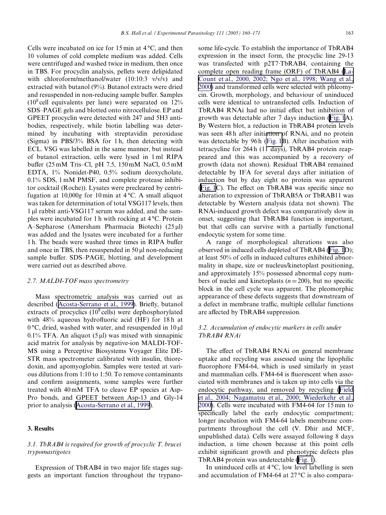Cells were incubated on ice for 15 min at 4 °C, and then 10 volumes of cold complete medium was added. Cells were centrifuged and washed twice in medium, then once in TBS. For procyclin analysis, pellets were delipidated with chloroform/methanol/water (10:10:3 v/v/v) and extracted with butanol (9%). Butanol extracts were dried and resuspended in non-reducing sample buffer. Samples  $(10^8 \text{ cell equivalents per lane})$  were separated on 12% SDS–PAGE gels and blotted onto nitrocellulose. EP and GPEET procyclin were detected with 247 and 5H3 antibodies, respectively, while biotin labelling was determined by incubating with streptavidin peroxidase (Sigma) in PBS/3% BSA for 1 h, then detecting with ECL. VSG was labelled in the same manner, but instead of butanol extraction, cells were lysed in 1 ml RIPA buffer (25 mM Tris–Cl, pH 7.5,  $150 \text{ mM}$  NaCl,  $0.5 \text{ mM}$ EDTA, 1% Nonidet-P40, 0.5% sodium deoxycholate, 0.1% SDS, 1 mM PMSF, and complete protease inhibitor cocktail (Roche)). Lysates were precleared by centrifugation at 10,000*g* for 10 min at 4 °C. A small aliquot was taken for determination of total VSG117 levels, then 1 ul rabbit anti-VSG117 serum was added, and the samples were incubated for 1 h with rocking at 4 °C. Protein A–Sepharose (Amersham Pharmacia Biotech)  $(25 \mu l)$ was added and the lysates were incubated for a further 1 h. The beads were washed three times in RIPA buffer and once in TBS, then resuspended in  $50 \mu l$  non-reducing sample buffer. SDS–PAGE, blotting, and development were carried out as described above.

#### *2.7. MALDI-TOF mass spectrometry*

Mass spectrometric analysis was carried out as described ([Acosta-Serrano](#page-10-7) et al., 1999). Briefly, butanol extracts of procyclics  $(10^8 \text{ cells})$  were dephosphorylated with  $48\%$  aqueous hydrofluoric acid (HF) for 18 h at  $0^{\circ}$ C, dried, washed with water, and resuspended in 10  $\mu$ l 0.1% TFA. An aliquot  $(5 \mu l)$  was mixed with sinnapinic acid matrix for analysis by negative-ion MALDI-TOF-MS using a Perceptive Biosystems Voyager Elite DE-STR mass spectrometer calibrated with insulin, thioredoxin, and apomyoglobin. Samples were tested at various dilutions from 1:10 to 1:50. To remove contaminants and confirm assignments, some samples were further treated with 40 mM TFA to cleave EP species at Asp-Pro bonds, and GPEET between Asp-13 and Gly-14 prior to analysis [\(Acosta-Serrano](#page-10-7) et al., 1999).

## **3. Results**

# *3.1. TbRAB4 is required for growth of procyclic T. brucei trypomastigotes*

Expression of TbRAB4 in two major life stages suggests an important function throughout the trypanosome life-cycle. To establish the importance of TbRAB4 expression in the insect form, the procyclic line 29-13 was transfected with p2T7·TbRAB4, containing the complete open reading frame (ORF) of TbRAB4 [\(La-](#page-11-13)[Count](#page-11-13) et al., 2000, 2002; Ngo et al., 1998; Wang et al., [2000\)](#page-11-13) and transformed cells were selected with phleomycin. Growth, morphology, and behaviour of uninduced cells were identical to untransfected cells. Induction of TbRAB4 RNAi had no initial effect but inhibition of growth was detectable after 7 days induction [\(Fig.](#page-4-0) 1A). By Western blot, a reduction in TbRAB4 protein levels was seen 48 h after initiation of RNAi, and no protein was detectable by 96h ([Fig.](#page-4-0) 1B). After incubation with tetracycline for 264 h (11 days), TbRAB4 protein reappeared and this was accompanied by a recovery of growth (data not shown). Residual TbRAB4 remained detectable by IFA for several days after initiation of induction but by day eight no protein was apparent  $(Fig. 1C)$  $(Fig. 1C)$ . The effect on TbRAB4 was specific since no alteration to expression of TbRAB5A or TbRAB11 was detectable by Western analysis (data not shown). The RNAi-induced growth defect was comparatively slow in onset, suggesting that TbRAB4 function is important, but that cells can survive with a partially functional endocytic system for some time.

A range of morphological alterations was also observed in induced cells depleted of TbRAB4 [\(Fig.](#page-4-0) 1D); at least 50% of cells in induced cultures exhibited abnormality in shape, size or nucleus/kinetoplast positioning, and approximately 15% possessed abnormal copy numbers of nuclei and kinetoplasts  $(n=200)$ , but no specific block in the cell cycle was apparent. The pleomorphic appearance of these defects suggests that downstream of a defect in membrane traffic, multiple cellular functions are affected by TbRAB4 suppression.

# *3.2. Accumulation of endocytic markers in cells under TbRAB4 RNAi*

The effect of TbRAB4 RNAi on general membrane uptake and recycling was assessed using the lipophilic fluorophore FM4-64, which is used similarly in yeast and mammalian cells. FM4-64 is fluorescent when associated with membranes and is taken up into cells via the endocytic pathway, and removed by recycling [\(Field](#page-10-11) et al., 2004; Nagamatsu et al., 2000; [Wiederkehr](#page-10-11) et al., [2000\)](#page-10-11). Cells were incubated with FM4-64 for 15 min to specifically label the early endocytic compartment; longer incubation with FM4-64 labels membrane compartments throughout the cell (V. Dhir and MCF, unpublished data). Cells were assayed following 8 days induction, a time chosen because at this point cells exhibit significant growth and phenotypic defects plus TbRAB4 protein was undetectable [\(Fig.](#page-4-0) 1).

In uninduced cells at  $4^{\circ}C$ , low level labelling is seen and accumulation of FM4-64 at 27 °C is also compara-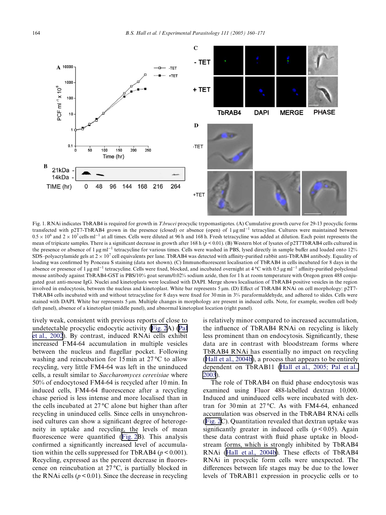

<span id="page-4-0"></span>Fig. 1. RNAi indicates TbRAB4 is required for growth in *T*.*brucei* procyclic trypomastigotes. (A) Cumulative growth curve for 29-13 procyclic forms transfected with p2T7-TbRAB4 grown in the presence (closed) or absence (open) of  $1 \mu g$  ml<sup>-1</sup> tetracyline. Cultures were maintained between  $0.5 \times 10^6$  and  $2 \times 10^7$  cells ml<sup>-1</sup> at all times. Cells were diluted at 96 h and 168 h. Fresh tetracycline was added at dilution. Each point represents the mean of tripicate samples. There is a significant decrease in growth after 168 h ( $p$  < 0.01). (B) Western blot of lysates of p2T7TbRAB4 cells cultured in the presence or absence of 1  $\mu$ g ml<sup>-1</sup> tetracycline for various times. Cells were washed in PBS, lysed directly in sample buffer and loaded onto 12% SDS–polyacrylamide gels at  $2 \times 10^7$  cell equivalents per lane. TbRAB4 was detected with affinity-purified rabbit anti-TbRAB4 antibody. Equality of loading was confirmed by Ponceau S staining (data not shown). (C) Immunofluorescent localisation of TbRAB4 in cells incubated for 8 days in the absence or presence of 1 µg ml<sup>-1</sup> tetracycline. Cells were fixed, blocked, and incubated overnight at 4  $\rm{°C}$  with 0.5 µg ml<sup>-1</sup> affinity-purified polyclonal mouse antibody against TbRAB4-GST in PBS/10% goat serum/0.02% sodium azide, then for 1 h at room temperature with Oregon green 488 conjugated goat anti-mouse IgG. Nuclei and kinetoplasts were localised with DAPI. Merge shows localisation of TbRAB4 positive vesicles in the region involved in endocytosis, between the nucleus and kinetoplast. White bar represents 5  $\mu$ m. (D) Effect of TbRAB4 RNAi on cell morphology: p2T7-TbRAB4 cells incubated with and without tetracycline for 8 days were fixed for 30 min in 3% paraformaldehyde, and adhered to slides. Cells were stained with DAPI. White bar represents 5  $\mu$ m. Multiple changes in morphology are present in induced cells. Note, for example, swollen cell body (left panel), absence of a kinetoplast (middle panel), and abnormal kinetoplast location (right panel).

tively weak, consistent with previous reports of close to undetectable procyclic endocytic activity [\(Fig.](#page-5-0) 2A) [\(Pal](#page-11-9) et al., [2002](#page-11-9)). By contrast, induced RNAi cells exhibit increased FM4-64 accumulation in multiple vesicles between the nucleus and flagellar pocket. Following washing and reincubation for 15 min at 27 °C to allow recycling, very little FM4-64 was left in the uninduced cells, a result similar to *Saccharomyces cerevisiae* where 50% of endocytosed FM4-64 is recycled after 10 min. In induced cells, FM4-64 fluorescence after a recycling chase period is less intense and more localised than in the cells incubated at 27 °C alone but higher than after recycling in uninduced cells. Since cells in unsynchronised cultures can show a significant degree of heterogeneity in uptake and recycling, the levels of mean fluorescence were quantified ([Fig.](#page-5-0) 2B). This analysis confirmed a significantly increased level of accumulation within the cells suppressed for TbRAB4 ( $p < 0.001$ ). Recycling, expressed as the percent decrease in fluorescence on reincubation at 27 °C, is partially blocked in the RNAi cells  $(p < 0.01)$ . Since the decrease in recycling is relatively minor compared to increased accumulation, the influence of TbRAB4 RNAi on recycling is likely less prominent than on endocytosis. Significantly, these data are in contrast with bloodstream forms where TbRAB4 RNAi has essentially no impact on recycling (Hall et al., [2004b](#page-10-6)), a process that appears to be entirely dependent on TbRAB11 (Hall et al., [2005;](#page-10-5) Pal et al., [2003](#page-10-5)).

The role of TbRAB4 on fluid phase endocytosis was examined using Fluor 488-labelled dextran 10,000. Induced and uninduced cells were incubated with dextran for 30 min at 27 °C. As with FM4-64, enhanced accumulation was observed in the TbRAB4 RNAi cells ([Fig.](#page-5-0) 2C). Quantitation revealed that dextran uptake was significantly greater in induced cells  $(p < 0.05)$ . Again these data contrast with fluid phase uptake in bloodstream forms, which is strongly inhibited by TbRAB4 RNAi (Hall et al., [2004b](#page-10-6)). These effects of TbRAB4 RNAi in procyclic form cells were unexpected. The differences between life stages may be due to the lower levels of TbRAB11 expression in procyclic cells or to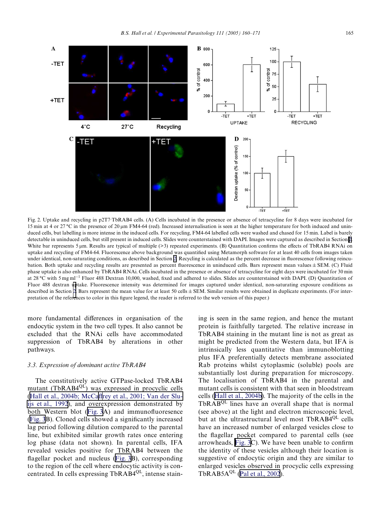

<span id="page-5-0"></span>Fig. 2. Uptake and recycling in p2T7·TbRAB4 cells. (A) Cells incubated in the presence or absence of tetracycline for 8 days were incubated for 15 min at 4 or  $27 \text{ °C}$  in the presence of  $20 \mu m$  FM4-64 (red). Increased internalisation is seen at the higher temperature for both induced and uninduced cells, but labelling is more intense in the induced cells. For recycling, FM4-64 labelled cells were washed and chased for 15 min. Label is barely detectable in uninduced cells, but still present in induced cells. Slides were counterstained with DAPI. Images were captured as described in Section [2](#page-1-0). White bar represents 5 um. Results are typical of multiple  $(>3)$  repeated experiments. (B) Quantitation confirms the effects of TbRAB4 RNAi on uptake and recycling of FM4-64. Fluorescence above background was quantified using Metamorph software for at least 40 cells from images taken under identical, non-saturating conditions, as described in Section [2.](#page-1-0) Recycling is calculated as the percent decrease in fluorescence following reincubation. Both uptake and recycling results are presented as percent fluorescence in uninduced cells. Bars represent mean values  $\pm$  SEM. (C) Fluid phase uptake is also enhanced by TbRAB4 RNAi. Cells incubated in the presence or absence of tetracycline for eight days were incubated for 30 min at 28 °C with 5 mg ml<sup>-1</sup> Fluor 488 Dextran 10,000, washed, fixed and adhered to slides. Slides are counterstained with DAPI. (D) Quantitation of Fluor 488 dextran [up](#page-1-0)take. Fluorescence intensity was determined for images captured under identical, non-saturating exposure conditions as described in Section 2. Bars represent the mean value for at least 50 cells  $\pm$  SEM. Similar results were obtained in duplicate experiments. (For interpretation of the references to color in this figure legend, the reader is referred to the web version of this paper.)

more fundamental differences in organisation of the endocytic system in the two cell types. It also cannot be excluded that the RNAi cells have accommodated suppression of TbRAB4 by alterations in other pathways.

# *3.3. Expression of dominant active TbRAB4*

The constitutively active GTPase-locked TbRAB4 mutant (TbRAB4<sup>QL</sup>) was expressed in procyclic cells (Hall et al., [2004b;](#page-10-6) McCaffrey et al., 2001; [V](#page-10-6)an der Sluijs et al., [1992\)](#page-10-6), and overexpression demonstrated by both Western blot  $(Fig. 3A)$  $(Fig. 3A)$  $(Fig. 3A)$  and immunofluoresence ([Fig.](#page-6-0) 3B). Cloned cells showed a significantly increased lag period following dilution compared to the parental line, but exhibited similar growth rates once entering log phase (data not shown). In parental cells, IFA revealed vesicles positive for TbRAB4 between the flagellar pocket and nucleus ([Fig.](#page-6-0)  $3B$ ), corresponding to the region of the cell where endocytic activity is concentrated. In cells expressing TbRAB4<sup>QL</sup>, intense staining is seen in the same region, and hence the mutant protein is faithfully targeted. The relative increase in TbRAB4 staining in the mutant line is not as great as might be predicted from the Western data, but IFA is intrinsically less quantitative than immunoblotting plus IFA preferentially detects membrane associated Rab proteins whilst cytoplasmic (soluble) pools are substantially lost during preparation for microscopy. The localisation of TbRAB4 in the parental and mutant cells is consistent with that seen in bloodstream cells (Hall et al., [2004b\)](#page-10-6). The majority of the cells in the TbRAB<sup>QL</sup> lines have an overall shape that is normal (see above) at the light and electron microscopic level, but at the ultrastructural level most TbRAB4<sup>QL</sup> cells have an increased number of enlarged vesicles close to the flagellar pocket compared to parental cells (see arrowheads, [Fig.](#page-6-0)  $3C$ ). We have been unable to confirm the identity of these vesicles although their location is suggestive of endocytic origin and they are similar to enlarged vesicles observed in procyclic cells expressing TbRAB5 $A^{QL}$  (Pal et al., [2002](#page-11-9)).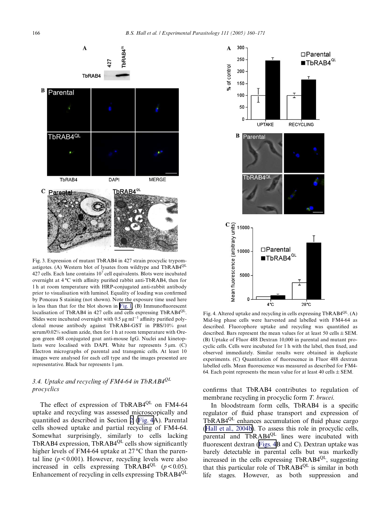

<span id="page-6-0"></span>Fig. 3. Expression of mutant TbRAB4 in 427 strain procyclic trypomastigotes. (A) Western blot of lysates from wildtype and TbRAB4QL 427 cells. Each lane contains  $10^7$  cell equivalents. Blots were incubated overnight at 4 °C with affinity purified rabbit anti-TbRAB4, then for 1 h at room temperature with HRP-conjugated anti-rabbit antibody prior to visualisation with luminol. Equality of loading was confirmed by Ponceau S staining (not shown). Note the exposure time used here is less than that for the blot shown in [Fig.](#page-4-0) 1.  $(B)$  Immunofluorescent localisation of TbRAB4 in 427 cells and cells expressing TbRAB4<sup>QL</sup>. Slides were incubated overnight with  $0.5 \,\mathrm{\upmu g\,ml^{-1}}$  affinity purified polyclonal mouse antibody against TbRAB4-GST in PBS/10% goat serum/0.02% sodium azide, then for 1 h at room temperature with Oregon green 488 conjugated goat anti-mouse IgG. Nuclei and kinetoplasts were localised with DAPI. White bar represents  $5 \mu m$ . (C) Electron micrographs of parental and transgenic cells. At least 10 images were analysed for each cell type and the images presented are representative. Black bar represents 1 µm.

# *3.4. Uptake and recycling of FM4-64 in TbRAB4QL procyclics*

The effect of expression of TbRAB4<sup>QL</sup> on FM4-64 uptake and recycling was assessed microscopically and quantified as described in Section [2](#page-1-0) (Fig. 4A). Parental cells showed uptake and partial recycling of FM4-64. Somewhat surprisingly, similarly to cells lacking TbRAB4 expression, TbRAB4 $^{QL}$  cells show significantly higher levels of FM4-64 uptake at 27 °C than the parental line  $(p < 0.001)$ . However, recycling levels were also increased in cells expressing TbRAB4<sup>QL</sup>  $(p < 0.05)$ . Enhancement of recycling in cells expressing TbRAB4QL



Fig. 4. Altered uptake and recycling in cells expressing  $TbRAB4^{QL}$ . (A) Mid-log phase cells were harvested and labelled with FM4-64 as described. Fluorophore uptake and recycling was quantified as described. Bars represent the mean values for at least 50 cells  $\pm$  SEM. (B) Uptake of Fluor 488 Dextran 10,000 in parental and mutant procyclic cells. Cells were incubated for 1 h with the label, then fixed, and observed immediately. Similar results were obtained in duplicate experiments. (C) Quantitation of fluorescence in Fluor 488 dextran labelled cells. Mean fluorescence was measured as described for FM4-64. Each point represents the mean value for at least 40 cells  $\pm$  SEM.

confirms that TbRAB4 contributes to regulation of membrane recycling in procyclic form *T. brucei*.

In bloodstream form cells, TbRAB4 is a specific regulator of fluid phase transport and expression of TbRAB $4^{QL}$  enhances accumulation of fluid phase cargo (Hall et al., [2004b\)](#page-10-6). To assess this role in procyclic cells, parental and TbRAB4<sup>QL</sup> lines were incubated with fluorescent dextran (Figs.  $4B$  and C). Dextran uptake was barely detectable in parental cells but was markedly increased in the cells expressing TbRAB4QL, suggesting that this particular role of TbRAB4QL is similar in both life stages. However, as both suppression and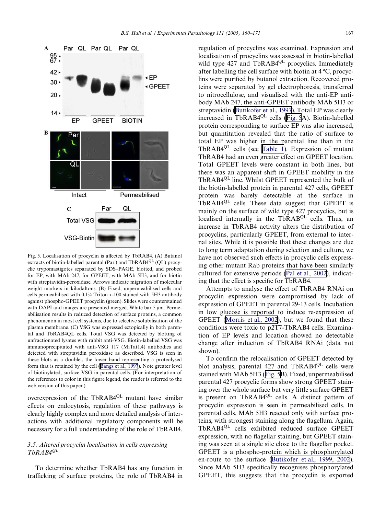

<span id="page-7-0"></span>Fig. 5. Localisation of procyclin is affected by TbRAB4. (A) Butanol extracts of biotin-labelled parental (Par.) and  $TbRAB4^{QL}$  (QL) procyclic trypomastigotes separated by SDS–PAGE, blotted, and probed for EP, with MAb 247, for GPEET, with MAb 5H3, and for biotin with streptavidin-peroxidase. Arrows indicate migration of molecular weight markers in kilodaltons. (B) Fixed, unpermeabilised cells and cells permeabilised with 0.1% Triton x-100 stained with 5H3 antibody against phospho-GPEET procyclin (green). Slides were counterstained with DAPI and images are presented merged. White bar  $5 \mu m$ . Permeabilisation results in reduced detection of surface proteins, a common phenomenon in most cell systems, due to selective solubilisation of the plasma membrane. (C) VSG was expressed ectopically in both parental and TbRAB4QL cells. Total VSG was detected by blotting of unfractionated lysates with rabbit anti-VSG. Biotin-labelled VSG was immunoprecipitated with anti-VSG 117 (MiTat1.4) antibodies and detected with streptavidin peroxidase as described. VSG is seen in these blots as a doublet, the lower band representing a proteolysed form that is retained by the cell [\(Bangs](#page-10-10) et al., 1997). Note greater level of biotinylated, surface VSG in parental cells. (For interpretation of the references to color in this figure legend, the reader is referred to the web version of this paper.)

overexpression of the TbRAB4<sup>QL</sup> mutant have similar effects on endocytosis, regulation of these pathways is clearly highly complex and more detailed analysis of interactions with additional regulatory components will be necessary for a full understanding of the role of TbRAB4.

# *3.5. Altered procyclin localisation in cells expressing TbRAB4QL*

To determine whether TbRAB4 has any function in trafficking of surface proteins, the role of TbRAB4 in regulation of procyclins was examined. Expression and localisation of procyclins was assessed in biotin-labelled wild type 427 and TbRAB4<sup>QL</sup> procyclics. Immediately after labelling the cell surface with biotin at 4 °C, procyclins were purified by butanol extraction. Recovered proteins were separated by gel electrophoresis, transferred to nitrocellulose, and visualised with the anti-EP antibody MAb 247, the anti-GPEET antibody MAb 5H3 or streptavidin [\(Butikofer](#page-10-9) et al., 1997). Total EP was clearly increased in TbRAB4QL cells (Fig. 5A). Biotin-labelled protein corresponding to surface EP was also increased, but quantitation revealed that the ratio of surface to total EP was higher in the parental line than in the TbRAB4<sup>QL</sup> cells (see [Table](#page-8-0) 1). Expression of mutant TbRAB4 had an even greater effect on GPEET location. Total GPEET levels were constant in both lines, but there was an apparent shift in GPEET mobility in the TbRAB4<sup>QL</sup> line. Whilst GPEET represented the bulk of the biotin-labelled protein in parental 427 cells, GPEET protein was barely detectable at the surface in TbRAB4QL cells. These data suggest that GPEET is mainly on the surface of wild type 427 procyclics, but is localised internally in the  $TbRAB^{QL}$  cells. Thus, an increase in TbRAB4 activity alters the distribution of procyclins, particularly GPEET, from external to internal sites. While it is possible that these changes are due to long term adaptation during selection and culture, we have not observed such effects in procyclic cells expressing other mutant Rab proteins that have been similarly cultured for extensive periods (Pal et al., [2002\)](#page-11-9), indicating that the effect is specific for TbRAB4.

Attempts to analyse the effect of TbRAB4 RNAi on procyclin expression were compromised by lack of expression of GPEET in parental 29-13 cells. Incubation in low glucose is reported to induce re-expression of GPEET ([Morris](#page-11-14) et al., 2002), but we found that these conditions were toxic to p2T7-TbRAB4 cells. Examination of EP levels and location showed no detectable change after induction of TbRAB4 RNAi (data not shown).

To confirm the relocalisation of GPEET detected by blot analysis, parental  $427$  and TbRAB4<sup>QL</sup> cells were stained with MAb 5H3 (Fig. 5B). Fixed, unpermeabilised parental 427 procyclic forms show strong GPEET staining over the whole surface but very little surface GPEET is present on TbRAB4<sup>QL</sup> cells. A distinct pattern of procyclin expression is seen in permeabilised cells. In parental cells, MAb 5H3 reacted only with surface proteins, with strongest staining along the flagellum. Again, TbRAB4QL cells exhibited reduced surface GPEET expression, with no flagellar staining, but GPEET staining was seen at a single site close to the flagellar pocket. GPEET is a phospho-protein which is phosphorylated en-route to the surface ([Butikofer](#page-10-12) et al., 1999, 2002). Since MAb 5H3 specifically recognises phosphorylated GPEET, this suggests that the procyclin is exported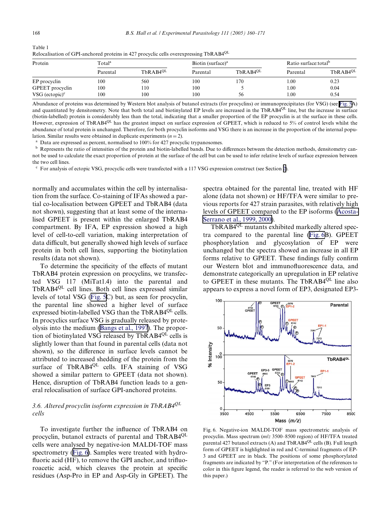| Protein           | Totalª   |               | Biotin (surface) <sup>a</sup> |               | Ratio surface: total <sup>b</sup> |                      |
|-------------------|----------|---------------|-------------------------------|---------------|-----------------------------------|----------------------|
|                   | Parental | $TbRAB4^{QL}$ | Parental                      | $ThRAB4^{QL}$ | Parental                          | TbRAB4 <sup>QL</sup> |
| EP procyclin      | 100      | 560           | 100                           | 170           | 1.00                              | 0.23                 |
| GPEET procyclin   | 100      | 110           | 100                           |               | 1.00                              | 0.04                 |
| VSG $(ectopic)^c$ | 100      | 100           | 100                           | 56            | 1.00                              | 0.54                 |

<span id="page-8-0"></span>Table 1 Relocalisation of GPI-anchored proteins in 427 procyclic cells overexpressing TbRAB4QL

Abundance of proteins was determined by Western blot analysis of butanol extracts (for procyclins) or immunoprecipitates (for VSG) (see [Fig.](#page-7-0) 5A) and quantitated by densitometry. Note that both total and biotinylated EP levels are increased in the TbRAB4<sup>QL</sup> line, but the increase in surface (biotin-labelled) protein is considerably less than the total, indicating that a smaller proportion of the EP procyclin is at the surface in these cells. However, expression of TbRAB4<sup>QL</sup> has the greatest impact on surface expression of GPEET, which is reduced to 5% of control levels whilst the abundance of total protein is unchanged. Therefore, for both procyclin isoforms and VSG there is an increase in the proportion of the internal popu-

lation. Similar results were obtained in duplicate experiments  $(n = 2)$ .<br><sup>a</sup> Data are expressed as percent, normalised to 100% for 427 procyclic trypanosomes.

<sup>b</sup> Represents the ratio of intensities of the protein and biotin-labelled bands. Due to differences between the detection methods, densitometry cannot be used to calculate the exact proportion of protein at the surface of the cell but can be used to infer relative levels of surface expression between the two cell lines.

 $c$  For analysis of ectopic VSG, procyclic cells were transfected with a 117 VSG expression construct (see Section [2\)](#page-1-0).

normally and accumulates within the cell by internalisation from the surface. Co-staining of IFAs showed a partial co-localisation between GPEET and TbRAB4 (data not shown), suggesting that at least some of the internalised GPEET is present within the enlarged TbRAB4 compartment. By IFA, EP expression showed a high level of cell-to-cell variation, making interpretation of data difficult, but generally showed high levels of surface protein in both cell lines, supporting the biotinylation results (data not shown).

To determine the specificity of the effects of mutant TbRAB4 protein expression on procyclins, we transfected VSG 117 (MiTat1.4) into the parental and TbRAB4<sup>QL</sup> cell lines. Both cell lines expressed similar levels of total VSG ([Fig.](#page-7-0) 5C) but, as seen for procyclin, the parental line showed a higher level of surface expressed biotin-labelled VSG than the TbRAB $4^{QL}$  cells. In procyclics surface VSG is gradually released by proteolysis into the medium ([Bangs](#page-10-10) et al., 1997). The proportion of biotinylated VSG released by TbRAB4<sup>QL</sup> cells is slightly lower than that found in parental cells (data not shown), so the difference in surface levels cannot be attributed to increased shedding of the protein from the surface of TbRAB4<sup>QL</sup> cells. IFA staining of VSG showed a similar pattern to GPEET (data not shown). Hence, disruption of TbRAB4 function leads to a general relocalisation of surface GPI-anchored proteins.

# *3.6. Altered procyclin isoform expression in TbRAB4QL cells*

To investigate further the influence of TbRAB4 on procyclin, butanol extracts of parental and TbRAB4<sup>QL</sup> cells were analysed by negative-ion MALDI-TOF mass spectrometry (Fig. 6). Samples were treated with hydrofluoric acid (HF), to remove the GPI anchor, and trifluoroacetic acid, which cleaves the protein at specific residues (Asp-Pro in EP and Asp-Gly in GPEET). The spectra obtained for the parental line, treated with HF alone (data not shown) or HF/TFA were similar to previous reports for 427 strain parasites, with relatively high levels of GPEET compared to the EP isoforms ([Acosta-](#page-10-7)[Serrano](#page-10-7) et al., 1999, 2000).

TbRAB4<sup>QL</sup> mutants exhibited markedly altered spectra compared to the parental line (Fig. 6B). GPEET phosphorylation and glycosylation of EP were unchanged but the spectra showed an increase in all EP forms relative to GPEET. These findings fully confirm our Western blot and immunofluorescence data, and demonstrate categorically an upregulation in EP relative to GPEET in these mutants. The TbRAB4<sup>QL</sup> line also appears to express a novel form of EP3, designated EP3-



<span id="page-8-1"></span>Fig. 6. Negative-ion MALDI-TOF mass spectrometric analysis of procyclin. Mass spectrum (*m*/*z* 3500–8500 region) of HF/TFA treated parental 427 butanol extracts (A) and  $TbRAB4^{QL}$  cells (B). Full length form of GPEET is highlighted in red and C-terminal fragments of EP-3 and GPEET are in black. The positions of some phosphorylated fragments are indicated by "P." (For interpretation of the references to color in this figure legend, the reader is referred to the web version of this paper.)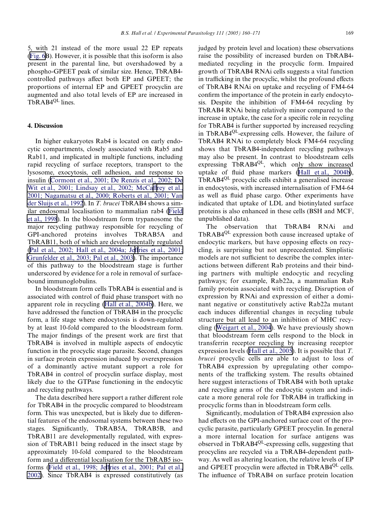5, with 21 instead of the more usual 22 EP repeats ([Fig.](#page-8-1) 6B). However, it is possible that this isoform is also present in the parental line, but overshadowed by a phospho-GPEET peak of similar size. Hence, TbRAB4 controlled pathways affect both EP and GPEET; the proportions of internal EP and GPEET procyclin are augmented and also total levels of EP are increased in TbRAB4<sup>QL</sup> lines.

## **4. Discussion**

In higher eukaryotes Rab4 is located on early endocytic compartments, closely associated with Rab5 and Rab11, and implicated in multiple functions, including rapid recycling of surface receptors, transport to the lysosome, exocytosis, cell adhesion, and response to insulin ([Cormont](#page-10-2) et al., 2001; De Renzis et al., 2002; De Wit et al., 2001; [Lindsay](#page-10-2) et al., 2002; McCaff[rey](#page-10-2) et al., 2001; [Nagamatsu](#page-10-2) et al., 2000; Roberts et al., 2001; Van der [Sluijs](#page-10-2) et al., 1992). In *T. brucei* TbRAB4 shows a similar endosomal localisation to mammalian rab4 ([Field](#page-10-3) et al., [1998](#page-10-3)). In the bloodstream form trypanosome the major recycling pathway responsible for recycling of GPI-anchored proteins involves TbRAB5A and TbRAB11, both of which are developmentally regulated (Pal et al., 2002; Hall et al., [2004a;](#page-11-9) Jeffries et al., [2001;](#page-11-9) [Grunfelder](#page-11-9) et al., 2003; Pal et al., 2003). The importance of this pathway to the bloodstream stage is further underscored by evidence for a role in removal of surfacebound immunoglobulins.

In bloodstream form cells TbRAB4 is essential and is associated with control of fluid phase transport with no apparent role in recycling (Hall et al., [2004b\)](#page-10-6). Here, we have addressed the function of TbRAB4 in the procyclic form, a life stage where endocytosis is down-regulated by at least 10-fold compared to the bloodstream form. The major findings of the present work are first that TbRAB4 is involved in multiple aspects of endocytic function in the procyclic stage parasite. Second, changes in surface protein expression induced by overexpression of a dominantly active mutant support a role for TbRAB4 in control of procyclin surface display, most likely due to the GTPase functioning in the endocytic and recycling pathways.

The data described here support a rather different role for TbRAB4 in the procyclic compared to bloodstream form. This was unexpected, but is likely due to differential features of the endosomal systems between these two stages. Significantly, TbRAB5A, TbRAB5B, and TbRAB11 are developmentally regulated, with expression of TbRAB11 being reduced in the insect stage by approximately 10-fold compared to the bloodstream form and a differential localisation for the TbRAB5 iso-forms (Field et al., [1998;](#page-10-3) Jeffries et al., [2001;](#page-10-3) Pal et al., [2002\)](#page-10-3). Since TbRAB4 is expressed constitutively (as

judged by protein level and location) these observations raise the possibility of increased burden on TbRAB4 mediated recycling in the procyclic form. Impaired growth of TbRAB4 RNAi cells suggests a vital function in trafficking in the procyclic, whilst the profound effects of TbRAB4 RNAi on uptake and recycling of FM4-64 confirm the importance of the protein in early endocytosis. Despite the inhibition of FM4-64 recycling by TbRAB4 RNAi being relatively minor compared to the increase in uptake, the case for a specific role in recycling for TbRAB4 is further supported by increased recycling in TbRAB4QL-expressing cells. However, the failure of TbRAB4 RNAi to completely block FM4-64 recycling shows that TbRAB4-independent recycling pathways may also be present. In contrast to bloodstream cells expressing TbRAB4<sup>QL</sup>, which only show increased uptake of fluid phase markers (Hall et al.,  $2004b$ ), TbRAB4<sup>QL</sup> procyclic cells exhibit a generalised increase in endocytosis, with increased internalisation of FM4-64 as well as fluid phase cargo. Other experiments have indicated that uptake of LDL and biotinylated surface proteins is also enhanced in these cells (BSH and MCF, unpublished data).

The observation that TbRAB4 RNAi and TbRAB4<sup>QL</sup> expression both cause increased uptake of endocytic markers, but have opposing effects on recycling, is surprising but not unprecedented. Simplistic models are not sufficient to describe the complex interactions between different Rab proteins and their binding partners with multiple endocytic and recycling pathways; for example, Rab22a, a mammalian Rab family protein associated with recycling. Disruption of expression by RNAi and expression of either a dominant negative or constitutively active Rab22a mutant each induces differential changes in recycling tubule structure but all lead to an inhibition of MHC recycling ([Weigart](#page-11-15) et al., 2004). We have previously shown that bloodstream form cells respond to the block in transferrin receptor recycling by increasing receptor expression levels (Hall et al., [2005](#page-10-5)). It is possible that *T. brucei* procyclic cells are able to adjust to loss of TbRAB4 expression by upregulating other components of the trafficking system. The results obtained here suggest interactions of TbRAB4 with both uptake and recycling arms of the endocytic system and indicate a more general role for TbRAB4 in trafficking in procyclic forms than in bloodstream form cells.

Significantly, modulation of TbRAB4 expression also had effects on the GPI-anchored surface coat of the procyclic parasite, particularly GPEET procyclin. In general a more internal location for surface antigens was observed in TbRAB4QL-expressing cells, suggesting that procyclins are recycled via a TbRAB4-dependent pathway. As well as altering location, the relative levels of EP and GPEET procyclin were affected in TbRAB4<sup>QL</sup> cells. The influence of TbRAB4 on surface protein location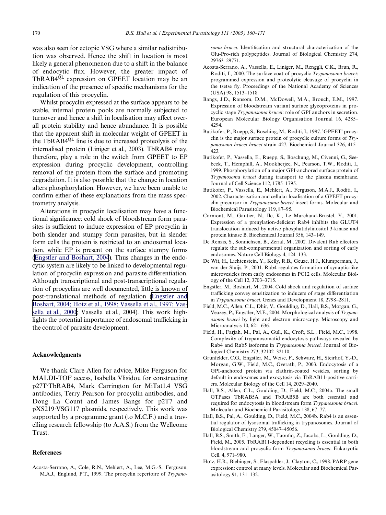was also seen for ectopic VSG where a similar redistribution was observed. Hence the shift in location is most likely a general phenomenon due to a shift in the balance of endocytic flux. However, the greater impact of TbRAB4<sup>QL</sup> expression on GPEET location may be an indication of the presence of specific mechanisms for the regulation of this procyclin.

Whilst procyclin expressed at the surface appears to be stable, internal protein pools are normally subjected to turnover and hence a shift in localisation may affect overall protein stability and hence abundance. It is possible that the apparent shift in molecular weight of GPEET in the TbRAB4QL line is due to increased proteolysis of the internalised protein (Liniger et al., 2003). TbRAB4 may, therefore, play a role in the switch from GPEET to EP expression during procyclic development, controlling removal of the protein from the surface and promoting degradation. It is also possible that the change in location alters phosphorylation. However, we have been unable to confirm either of these explanations from the mass spectrometry analysis.

Alterations in procyclin localisation may have a functional significance: cold shock of bloodstream form parasites is sufficient to induce expression of EP procyclin in both slender and stumpy form parasites, but in slender form cells the protein is restricted to an endosomal location, while EP is present on the surface stumpy forms (Engstler and Boshart, 2004). Thus changes in the endocytic system are likely to be linked to developmental regulation of procyclin expression and parasite differentiation. Although transcriptional and post-transcriptional regulation of procyclins are well documented, little is known of post-translational methods of regulation (Engstler and Boshart, 2004; Hotz et al., 1998; Vassella et al., 1997; Vassella et al., 2000; Vassella et al., 2004). This work highlights the potential importance of endosomal trafficking in the control of parasite development.

#### **Acknowledgments**

We thank Clare Allen for advice, Mike Ferguson for MALDI-TOF access, Isabella Vlisidou for constructing p27T·TbRAB4, Mark Carrington for MiTat1.4 VSG antibodies, Terry Pearson for procyclin antibodies, and Doug La Count and James Bangs for p2T7 and pXS219·VSG117 plasmids, respectively. This work was supported by a programme grant (to M.C.F.) and a travelling research fellowship (to A.A.S.) from the Wellcome Trust.

#### **References**

<span id="page-10-7"></span>Acosta-Serrano, A., Cole, R.N., Mehlert, A., Lee, M.G.-S., Ferguson, M.A.J., Englund, P.T., 1999. The procyclin repertoire of *Trypano-*

soma brucei. Identification and structural characterization of the Glu-Pro-rich polypeptides. Journal of Biological Chemistry 274, 29763–29771.

- <span id="page-10-8"></span>Acosta-Serrano, A., Vassella, E., Liniger, M., Renggli, C.K., Brun, R., Roditi, I., 2000. The surface coat of procyclic *Trypanosoma brucei*: programmed expression and proteolytic cleavage of procyclin in the tsetse fly. Proceedings of the National Academy of Sciences (USA) 98, 1513–1518.
- <span id="page-10-10"></span>Bangs, J.D., Ransom, D.M., McDowell, M.A., Brouch, E.M., 1997. Expression of bloodstream variant surface glycoproteins in procyclic stage *Trypanosoma brucei*: role of GPI anchors in secretion. European Molecular Biology Organisation Journal 16, 4285– 4294.
- <span id="page-10-9"></span>Butikofer, P., Ruepp, S., Bosching, M., Roditi, I., 1997. 'GPEET' procyclin is the major surface protein of procyclic culture forms of *Trypanosoma brucei brucei* strain 427. Biochemical Journal 326, 415– 423.
- <span id="page-10-12"></span>Butikofer, P., Vassella, E., Ruepp, S., Boschung, M., Civenni, G., Seebeck, T., Hemphill, A., Mookherjee, N., Pearson, T.W., Roditi, I., 1999. Phosphorylation of a major GPI-anchored surface protein of *Trypanosoma brucei* during transport to the plasma membrane. Journal of Cell Science 112, 1785–1795.
- Butikofer, P., Vassella, E., Mehlert, A., Ferguson, M.A.J., Roditi, I., 2002. Characterisation and cellular localisation of a GPEET procyclin precursor in *Trypanosoma brucei* insect forms. Molecular and Biochemical Parasitology 119, 87–95.
- <span id="page-10-2"></span>Cormont, M., Gautier, N., Ilc, K., Le Marchand-Brustel, Y., 2001. Expression of a prenylation-deficient Rab4 inhibits the GLUT4 translocation induced by active phosphatidylinositol 3-kinase and protein kinase B. Biochemical Journal 356, 143–149.
- <span id="page-10-0"></span>De Renzis, S., Sonnichsen, B., Zerial, M., 2002. Divalent Rab effectors regulate the sub-compartmental organization and sorting of early endosomes. Nature Cell Biology 4, 124–133.
- <span id="page-10-1"></span>De Wit, H., Lichtenstein, Y., Kelly, R.B., Geuze, H.J., Klumperman, J., van der Sluijs, P., 2001. Rab4 regulates formation of synaptic-like microvesicles from early endosomes in PC12 cells. Molecular Biology of the Cell 12, 3703–3715.
- Engstler, M., Boshart, M., 2004. Cold shock and regulation of surface trafficking convey sensitization to inducers of stage differentiation in *Trypanosoma brucei*. Genes and Development 18, 2798–2811.
- <span id="page-10-11"></span>Field, M.C., Allen, C.L., Dhir, V., Goulding, D., Hall, B.S., Morgan, G., Veazey, P., Engstler, M.E., 2004. Morphological analysis of *Trypanosoma brucei* by light and electron microscopy. Microscopy and Microanalysis 10, 621–636.
- <span id="page-10-3"></span>Field, H., Farjah, M., Pal, A., Gull, K., Croft, S.L., Field, M.C., 1998. Complexity of trypanosomatid endocytosis pathways revealed by Rab4 and Rab5 isoforms in *Trypanosoma brucei*. Journal of Biological Chemistry 273, 32102–32110.
- <span id="page-10-4"></span>Grunfelder, C.G., Engstler, M., Weise, F., Schwarz, H., Steirhof, Y.-D., Morgan, G.W., Field, M.C., Overath, P., 2003. Endocytosis of a GPI-anchored protein via clathrin-coated vesicles, sorting by default in endosomes and exocytosis via TbRAB11-positive carriers. Molecular Biology of the Cell 14, 2029–2040.
- Hall, B.S., Allen, C.L., Goulding, D., Field, M.C., 2004a. The small GTPases TbRAB5A and TbRAB5B are both essential and required for endocytosis in bloodstream form *Trypanosoma brucei*. Molecular and Biochemical Parasitology 138, 67–77.
- <span id="page-10-6"></span>Hall, B.S., Pal, A., Goulding, D., Field, M.C., 2004b. Rab4 is an essential regulator of lysosomal trafficking in trypanosomes. Journal of Biological Chemistry 279, 45047–45056.
- <span id="page-10-5"></span>Hall, B.S., Smith, E., Langer, W., Taoufiq, Z., Jacobs, L., Goulding, D., Field, M., 2005. TbRAB11-dependent recycling is essential in both bloodstream and procyclic form *Trypanosoma brucei*. Eukaryotic Cell. 4, 971–980.
- Hotz, H.R., Biebinger, S., Flaspahler, J., Clayton, C., 1998. PARP gene expression: control at many levels. Molecular and Biochemical Parasitology 91, 131–132.